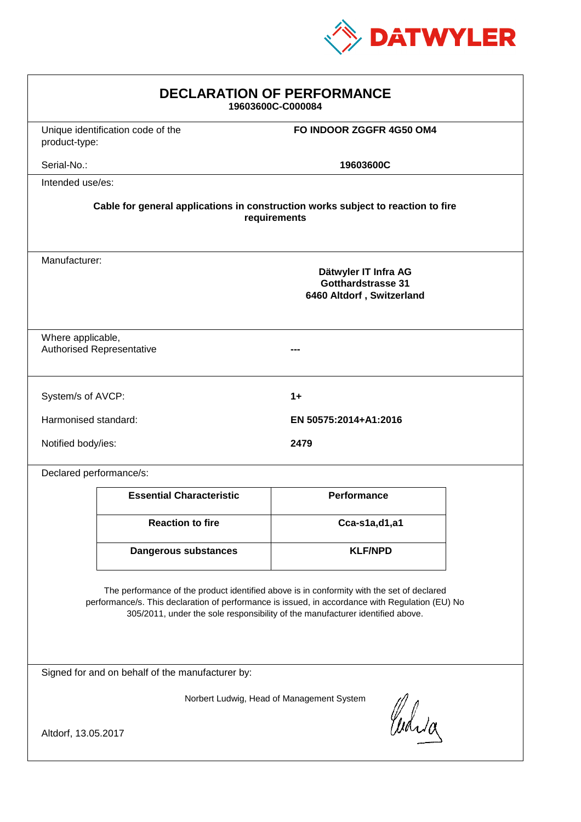

| <b>DECLARATION OF PERFORMANCE</b><br>19603600C-C000084                                                                                                                                                                                                                        |                                                                                  |                          |  |  |
|-------------------------------------------------------------------------------------------------------------------------------------------------------------------------------------------------------------------------------------------------------------------------------|----------------------------------------------------------------------------------|--------------------------|--|--|
| product-type:                                                                                                                                                                                                                                                                 | Unique identification code of the                                                | FO INDOOR ZGGFR 4G50 OM4 |  |  |
| Serial-No.:                                                                                                                                                                                                                                                                   |                                                                                  | 19603600C                |  |  |
| Intended use/es:                                                                                                                                                                                                                                                              |                                                                                  |                          |  |  |
|                                                                                                                                                                                                                                                                               | Cable for general applications in construction works subject to reaction to fire | requirements             |  |  |
| Manufacturer:<br>Dätwyler IT Infra AG<br><b>Gotthardstrasse 31</b><br>6460 Altdorf, Switzerland                                                                                                                                                                               |                                                                                  |                          |  |  |
| Where applicable,<br><b>Authorised Representative</b>                                                                                                                                                                                                                         |                                                                                  |                          |  |  |
| System/s of AVCP:<br>$1+$                                                                                                                                                                                                                                                     |                                                                                  |                          |  |  |
| Harmonised standard:                                                                                                                                                                                                                                                          |                                                                                  | EN 50575:2014+A1:2016    |  |  |
| Notified body/ies:                                                                                                                                                                                                                                                            |                                                                                  | 2479                     |  |  |
| Declared performance/s:                                                                                                                                                                                                                                                       |                                                                                  |                          |  |  |
|                                                                                                                                                                                                                                                                               | <b>Essential Characteristic</b>                                                  | Performance              |  |  |
|                                                                                                                                                                                                                                                                               | <b>Reaction to fire</b>                                                          | Cca-s1a,d1,a1            |  |  |
|                                                                                                                                                                                                                                                                               | <b>Dangerous substances</b>                                                      | <b>KLF/NPD</b>           |  |  |
| The performance of the product identified above is in conformity with the set of declared<br>performance/s. This declaration of performance is issued, in accordance with Regulation (EU) No<br>305/2011, under the sole responsibility of the manufacturer identified above. |                                                                                  |                          |  |  |
| Signed for and on behalf of the manufacturer by:                                                                                                                                                                                                                              |                                                                                  |                          |  |  |
| Norbert Ludwig, Head of Management System                                                                                                                                                                                                                                     |                                                                                  |                          |  |  |
| Curia<br>Altdorf, 13.05.2017                                                                                                                                                                                                                                                  |                                                                                  |                          |  |  |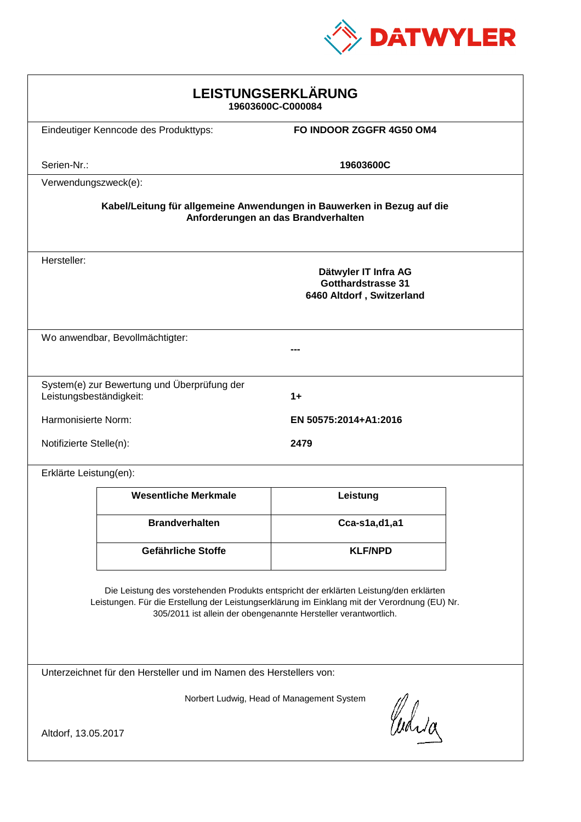

| LEISTUNGSERKLÄRUNG<br>19603600C-C000084                                                                                                                                                                                                                    |                                                                                |                                                                                |  |  |  |
|------------------------------------------------------------------------------------------------------------------------------------------------------------------------------------------------------------------------------------------------------------|--------------------------------------------------------------------------------|--------------------------------------------------------------------------------|--|--|--|
|                                                                                                                                                                                                                                                            | Eindeutiger Kenncode des Produkttyps:                                          | FO INDOOR ZGGFR 4G50 OM4                                                       |  |  |  |
| Serien-Nr.:                                                                                                                                                                                                                                                |                                                                                | 19603600C                                                                      |  |  |  |
| Verwendungszweck(e):<br>Kabel/Leitung für allgemeine Anwendungen in Bauwerken in Bezug auf die<br>Anforderungen an das Brandverhalten                                                                                                                      |                                                                                |                                                                                |  |  |  |
| Hersteller:                                                                                                                                                                                                                                                |                                                                                | Dätwyler IT Infra AG<br><b>Gotthardstrasse 31</b><br>6460 Altdorf, Switzerland |  |  |  |
|                                                                                                                                                                                                                                                            | Wo anwendbar, Bevollmächtigter:                                                |                                                                                |  |  |  |
|                                                                                                                                                                                                                                                            | System(e) zur Bewertung und Überprüfung der<br>Leistungsbeständigkeit:<br>$1+$ |                                                                                |  |  |  |
| Harmonisierte Norm:                                                                                                                                                                                                                                        |                                                                                | EN 50575:2014+A1:2016                                                          |  |  |  |
| Notifizierte Stelle(n):<br>2479                                                                                                                                                                                                                            |                                                                                |                                                                                |  |  |  |
| Erklärte Leistung(en):                                                                                                                                                                                                                                     |                                                                                |                                                                                |  |  |  |
|                                                                                                                                                                                                                                                            | <b>Wesentliche Merkmale</b>                                                    | Leistung                                                                       |  |  |  |
|                                                                                                                                                                                                                                                            | <b>Brandverhalten</b>                                                          | Cca-s1a,d1,a1                                                                  |  |  |  |
|                                                                                                                                                                                                                                                            | Gefährliche Stoffe                                                             | <b>KLF/NPD</b>                                                                 |  |  |  |
| Die Leistung des vorstehenden Produkts entspricht der erklärten Leistung/den erklärten<br>Leistungen. Für die Erstellung der Leistungserklärung im Einklang mit der Verordnung (EU) Nr.<br>305/2011 ist allein der obengenannte Hersteller verantwortlich. |                                                                                |                                                                                |  |  |  |
| Unterzeichnet für den Hersteller und im Namen des Herstellers von:                                                                                                                                                                                         |                                                                                |                                                                                |  |  |  |
| Norbert Ludwig, Head of Management System<br>Curia<br>Altdorf, 13.05.2017                                                                                                                                                                                  |                                                                                |                                                                                |  |  |  |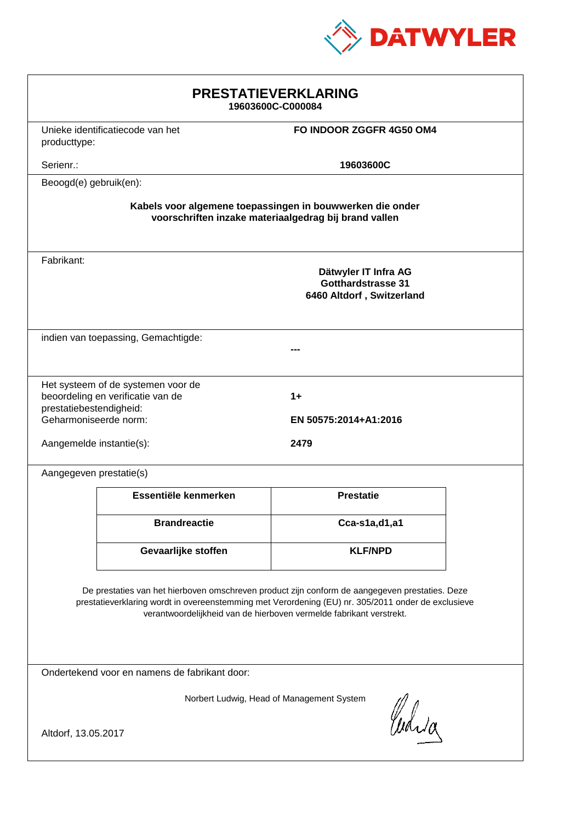

| <b>PRESTATIEVERKLARING</b><br>19603600C-C000084                                                                                                                                                                                                                             |                                                                              |                                                                         |  |  |
|-----------------------------------------------------------------------------------------------------------------------------------------------------------------------------------------------------------------------------------------------------------------------------|------------------------------------------------------------------------------|-------------------------------------------------------------------------|--|--|
|                                                                                                                                                                                                                                                                             | Unieke identificatiecode van het<br>FO INDOOR ZGGFR 4G50 OM4<br>producttype: |                                                                         |  |  |
| Serienr.:                                                                                                                                                                                                                                                                   |                                                                              | 19603600C                                                               |  |  |
| Beoogd(e) gebruik(en):                                                                                                                                                                                                                                                      |                                                                              |                                                                         |  |  |
| Kabels voor algemene toepassingen in bouwwerken die onder<br>voorschriften inzake materiaalgedrag bij brand vallen                                                                                                                                                          |                                                                              |                                                                         |  |  |
| Fabrikant:                                                                                                                                                                                                                                                                  |                                                                              | Dätwyler IT Infra AG<br>Gotthardstrasse 31<br>6460 Altdorf, Switzerland |  |  |
|                                                                                                                                                                                                                                                                             | indien van toepassing, Gemachtigde:                                          |                                                                         |  |  |
| Het systeem of de systemen voor de<br>beoordeling en verificatie van de<br>$1+$<br>prestatiebestendigheid:<br>Geharmoniseerde norm:<br>EN 50575:2014+A1:2016<br>2479<br>Aangemelde instantie(s):                                                                            |                                                                              |                                                                         |  |  |
| Aangegeven prestatie(s)                                                                                                                                                                                                                                                     |                                                                              |                                                                         |  |  |
|                                                                                                                                                                                                                                                                             | Essentiële kenmerken                                                         | <b>Prestatie</b>                                                        |  |  |
|                                                                                                                                                                                                                                                                             | <b>Brandreactie</b>                                                          | Cca-s1a,d1,a1                                                           |  |  |
|                                                                                                                                                                                                                                                                             | Gevaarlijke stoffen                                                          | <b>KLF/NPD</b>                                                          |  |  |
| De prestaties van het hierboven omschreven product zijn conform de aangegeven prestaties. Deze<br>prestatieverklaring wordt in overeenstemming met Verordening (EU) nr. 305/2011 onder de exclusieve<br>verantwoordelijkheid van de hierboven vermelde fabrikant verstrekt. |                                                                              |                                                                         |  |  |
| Ondertekend voor en namens de fabrikant door:                                                                                                                                                                                                                               |                                                                              |                                                                         |  |  |
| Norbert Ludwig, Head of Management System<br>Curia<br>Altdorf, 13.05.2017                                                                                                                                                                                                   |                                                                              |                                                                         |  |  |
|                                                                                                                                                                                                                                                                             |                                                                              |                                                                         |  |  |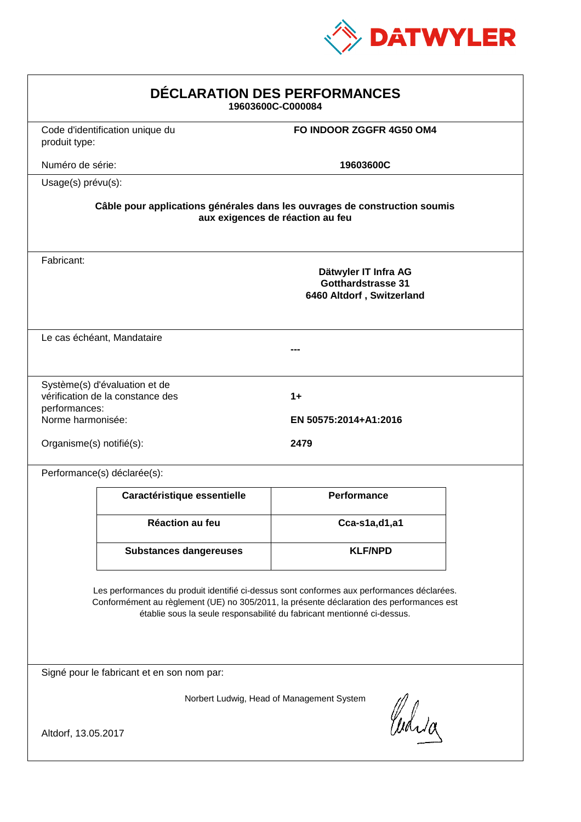

| <b>DÉCLARATION DES PERFORMANCES</b><br>19603600C-C000084                                                                                                                                                                                                         |                                                                   |                                                                                |  |  |
|------------------------------------------------------------------------------------------------------------------------------------------------------------------------------------------------------------------------------------------------------------------|-------------------------------------------------------------------|--------------------------------------------------------------------------------|--|--|
| produit type:                                                                                                                                                                                                                                                    | Code d'identification unique du                                   | FO INDOOR ZGGFR 4G50 OM4                                                       |  |  |
| Numéro de série:                                                                                                                                                                                                                                                 |                                                                   | 19603600C                                                                      |  |  |
| Usage(s) prévu(s):                                                                                                                                                                                                                                               |                                                                   |                                                                                |  |  |
| Câble pour applications générales dans les ouvrages de construction soumis<br>aux exigences de réaction au feu                                                                                                                                                   |                                                                   |                                                                                |  |  |
| Fabricant:                                                                                                                                                                                                                                                       |                                                                   | Dätwyler IT Infra AG<br><b>Gotthardstrasse 31</b><br>6460 Altdorf, Switzerland |  |  |
|                                                                                                                                                                                                                                                                  | Le cas échéant, Mandataire                                        |                                                                                |  |  |
| performances:<br>Norme harmonisée:                                                                                                                                                                                                                               | Système(s) d'évaluation et de<br>vérification de la constance des | $1+$<br>EN 50575:2014+A1:2016                                                  |  |  |
| Organisme(s) notifié(s):                                                                                                                                                                                                                                         |                                                                   | 2479                                                                           |  |  |
|                                                                                                                                                                                                                                                                  | Performance(s) déclarée(s):                                       |                                                                                |  |  |
|                                                                                                                                                                                                                                                                  | Caractéristique essentielle                                       | <b>Performance</b>                                                             |  |  |
|                                                                                                                                                                                                                                                                  | Réaction au feu                                                   | Cca-s1a,d1,a1                                                                  |  |  |
|                                                                                                                                                                                                                                                                  | <b>Substances dangereuses</b>                                     | <b>KLF/NPD</b>                                                                 |  |  |
| Les performances du produit identifié ci-dessus sont conformes aux performances déclarées.<br>Conformément au règlement (UE) no 305/2011, la présente déclaration des performances est<br>établie sous la seule responsabilité du fabricant mentionné ci-dessus. |                                                                   |                                                                                |  |  |
| Signé pour le fabricant et en son nom par:                                                                                                                                                                                                                       |                                                                   |                                                                                |  |  |
| Norbert Ludwig, Head of Management System<br>Waia<br>Altdorf, 13.05.2017                                                                                                                                                                                         |                                                                   |                                                                                |  |  |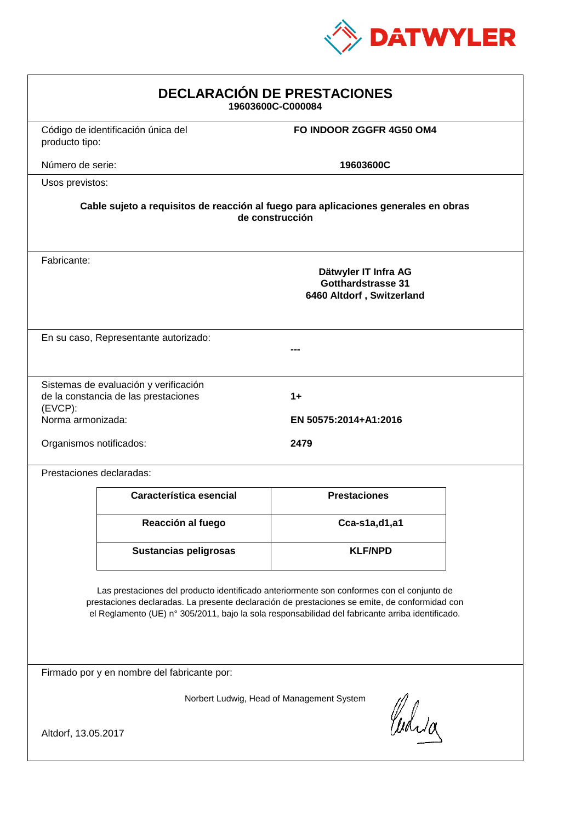

| <b>DECLARACIÓN DE PRESTACIONES</b><br>19603600C-C000084                                                                                                                                                                                                                                        |                                                                               |                                                                                |  |  |  |
|------------------------------------------------------------------------------------------------------------------------------------------------------------------------------------------------------------------------------------------------------------------------------------------------|-------------------------------------------------------------------------------|--------------------------------------------------------------------------------|--|--|--|
| producto tipo:                                                                                                                                                                                                                                                                                 | Código de identificación única del                                            | FO INDOOR ZGGFR 4G50 OM4                                                       |  |  |  |
| Número de serie:                                                                                                                                                                                                                                                                               |                                                                               | 19603600C                                                                      |  |  |  |
| Usos previstos:                                                                                                                                                                                                                                                                                |                                                                               |                                                                                |  |  |  |
| Cable sujeto a requisitos de reacción al fuego para aplicaciones generales en obras<br>de construcción                                                                                                                                                                                         |                                                                               |                                                                                |  |  |  |
| Fabricante:                                                                                                                                                                                                                                                                                    |                                                                               | Dätwyler IT Infra AG<br><b>Gotthardstrasse 31</b><br>6460 Altdorf, Switzerland |  |  |  |
|                                                                                                                                                                                                                                                                                                | En su caso, Representante autorizado:                                         |                                                                                |  |  |  |
| $(EVCP)$ :                                                                                                                                                                                                                                                                                     | Sistemas de evaluación y verificación<br>de la constancia de las prestaciones | $1+$<br>EN 50575:2014+A1:2016                                                  |  |  |  |
| Norma armonizada:<br>Organismos notificados:                                                                                                                                                                                                                                                   |                                                                               | 2479                                                                           |  |  |  |
|                                                                                                                                                                                                                                                                                                | Prestaciones declaradas:                                                      |                                                                                |  |  |  |
|                                                                                                                                                                                                                                                                                                | Característica esencial                                                       | <b>Prestaciones</b>                                                            |  |  |  |
|                                                                                                                                                                                                                                                                                                | Reacción al fuego                                                             | Cca-s1a,d1,a1                                                                  |  |  |  |
|                                                                                                                                                                                                                                                                                                | Sustancias peligrosas                                                         | <b>KLF/NPD</b>                                                                 |  |  |  |
| Las prestaciones del producto identificado anteriormente son conformes con el conjunto de<br>prestaciones declaradas. La presente declaración de prestaciones se emite, de conformidad con<br>el Reglamento (UE) nº 305/2011, bajo la sola responsabilidad del fabricante arriba identificado. |                                                                               |                                                                                |  |  |  |
| Firmado por y en nombre del fabricante por:                                                                                                                                                                                                                                                    |                                                                               |                                                                                |  |  |  |
| Norbert Ludwig, Head of Management System<br>Curia                                                                                                                                                                                                                                             |                                                                               |                                                                                |  |  |  |
| Altdorf, 13.05.2017                                                                                                                                                                                                                                                                            |                                                                               |                                                                                |  |  |  |